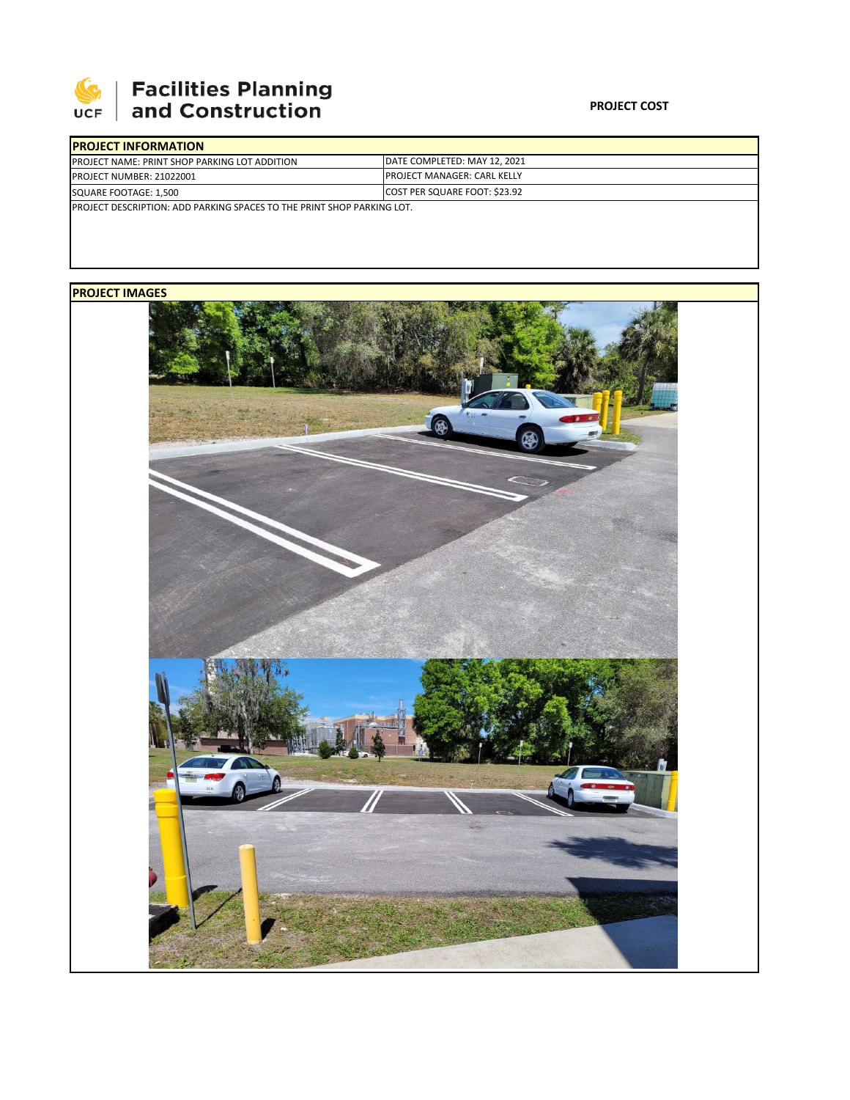

## **Facilities Planning<br>and Construction**

| <b>IPROJECT INFORMATION</b>                                                    |                                     |  |  |  |
|--------------------------------------------------------------------------------|-------------------------------------|--|--|--|
| <b>PROJECT NAME: PRINT SHOP PARKING LOT ADDITION</b>                           | IDATE COMPLETED: MAY 12. 2021       |  |  |  |
| <b>PROJECT NUMBER: 21022001</b>                                                | <b>IPROJECT MANAGER: CARL KELLY</b> |  |  |  |
| SQUARE FOOTAGE: 1,500                                                          | COST PER SQUARE FOOT: \$23.92       |  |  |  |
| <b>IPROJECT DESCRIPTION: ADD PARKING SPACES TO THE PRINT SHOP PARKING LOT.</b> |                                     |  |  |  |
|                                                                                |                                     |  |  |  |

## **PROJECT IMAGES**